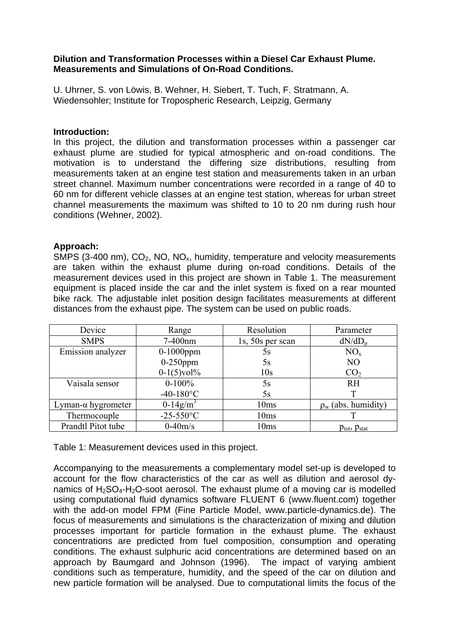# **Dilution and Transformation Processes within a Diesel Car Exhaust Plume. Measurements and Simulations of On-Road Conditions.**

U. Uhrner, S. von Löwis, B. Wehner, H. Siebert, T. Tuch, F. Stratmann, A. Wiedensohler; Institute for Tropospheric Research, Leipzig, Germany

## **Introduction:**

In this project, the dilution and transformation processes within a passenger car exhaust plume are studied for typical atmospheric and on-road conditions. The motivation is to understand the differing size distributions, resulting from measurements taken at an engine test station and measurements taken in an urban street channel. Maximum number concentrations were recorded in a range of 40 to 60 nm for different vehicle classes at an engine test station, whereas for urban street channel measurements the maximum was shifted to 10 to 20 nm during rush hour conditions (Wehner, 2002).

# **Approach:**

SMPS (3-400 nm),  $CO<sub>2</sub>$ , NO, NO<sub>x</sub>, humidity, temperature and velocity measurements are taken within the exhaust plume during on-road conditions. Details of the measurement devices used in this project are shown in Table 1. The measurement equipment is placed inside the car and the inlet system is fixed on a rear mounted bike rack. The adjustable inlet position design facilitates measurements at different distances from the exhaust pipe. The system can be used on public roads.

| Device             | Range          | Resolution       | Parameter                            |
|--------------------|----------------|------------------|--------------------------------------|
| <b>SMPS</b>        | 7-400nm        | 1s, 50s per scan | dN/dD <sub>n</sub>                   |
| Emission analyzer  | $0-1000$ ppm   | 5s               | $NO_{x}$                             |
|                    | $0-250$ ppm    | 5s               | N <sub>O</sub>                       |
|                    | $0-1(5)$ vol%  | 10 <sub>s</sub>  | CO <sub>2</sub>                      |
| Vaisala sensor     | $0-100%$       | 5s               | <b>RH</b>                            |
|                    | $-40-180$ °C   | 5s               |                                      |
| Lyman-α hygrometer | $0-14g/m^3$    | 10ms             | $\rho_w$ (abs. humidity)             |
| Thermocouple       | $-25 - 550$ °C | 10ms             |                                      |
| Prandtl Pitot tube | $0-40m/s$      | 10ms             | $p_{\text{tot}}$ , $p_{\text{stat}}$ |

Table 1: Measurement devices used in this project.

Accompanying to the measurements a complementary model set-up is developed to account for the flow characteristics of the car as well as dilution and aerosol dynamics of  $H_2SO_4$ -H<sub>2</sub>O-soot aerosol. The exhaust plume of a moving car is modelled using computational fluid dynamics software FLUENT 6 (www.fluent.com) together with the add-on model FPM (Fine Particle Model, www.particle-dynamics.de). The focus of measurements and simulations is the characterization of mixing and dilution processes important for particle formation in the exhaust plume. The exhaust concentrations are predicted from fuel composition, consumption and operating conditions. The exhaust sulphuric acid concentrations are determined based on an approach by Baumgard and Johnson (1996). The impact of varying ambient conditions such as temperature, humidity, and the speed of the car on dilution and new particle formation will be analysed. Due to computational limits the focus of the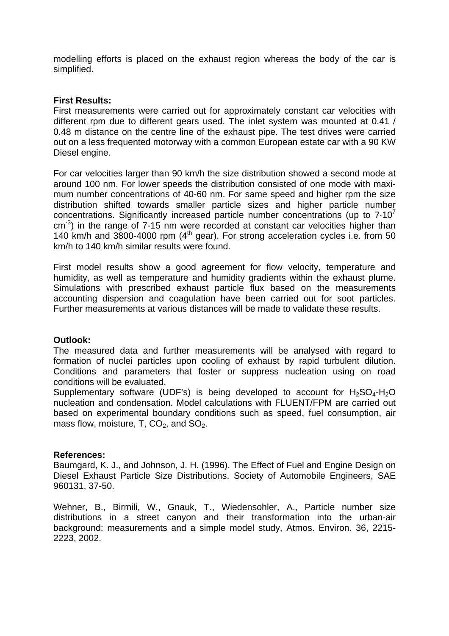modelling efforts is placed on the exhaust region whereas the body of the car is simplified.

### **First Results:**

First measurements were carried out for approximately constant car velocities with different rpm due to different gears used. The inlet system was mounted at 0.41 / 0.48 m distance on the centre line of the exhaust pipe. The test drives were carried out on a less frequented motorway with a common European estate car with a 90 KW Diesel engine.

For car velocities larger than 90 km/h the size distribution showed a second mode at around 100 nm. For lower speeds the distribution consisted of one mode with maximum number concentrations of 40-60 nm. For same speed and higher rpm the size distribution shifted towards smaller particle sizes and higher particle number concentrations. Significantly increased particle number concentrations (up to  $7.10<sup>7</sup>$  $cm^{-3}$ ) in the range of 7-15 nm were recorded at constant car velocities higher than 140 km/h and  $3800-4000$  rpm  $(4<sup>th</sup>$  gear). For strong acceleration cycles i.e. from 50 km/h to 140 km/h similar results were found.

First model results show a good agreement for flow velocity, temperature and humidity, as well as temperature and humidity gradients within the exhaust plume. Simulations with prescribed exhaust particle flux based on the measurements accounting dispersion and coagulation have been carried out for soot particles. Further measurements at various distances will be made to validate these results.

# **Outlook:**

The measured data and further measurements will be analysed with regard to formation of nuclei particles upon cooling of exhaust by rapid turbulent dilution. Conditions and parameters that foster or suppress nucleation using on road conditions will be evaluated.

Supplementary software (UDF's) is being developed to account for  $H_2SO_4-H_2O$ nucleation and condensation. Model calculations with FLUENT/FPM are carried out based on experimental boundary conditions such as speed, fuel consumption, air mass flow, moisture, T,  $CO<sub>2</sub>$ , and  $SO<sub>2</sub>$ .

#### **References:**

Baumgard, K. J., and Johnson, J. H. (1996). The Effect of Fuel and Engine Design on Diesel Exhaust Particle Size Distributions. Society of Automobile Engineers, SAE 960131, 37-50.

Wehner, B., Birmili, W., Gnauk, T., Wiedensohler, A., Particle number size distributions in a street canyon and their transformation into the urban-air background: measurements and a simple model study, Atmos. Environ. 36, 2215- 2223, 2002.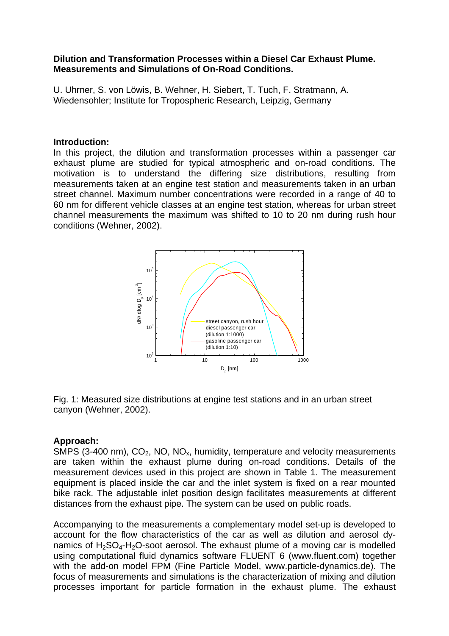### **Dilution and Transformation Processes within a Diesel Car Exhaust Plume. Measurements and Simulations of On-Road Conditions.**

U. Uhrner, S. von Löwis, B. Wehner, H. Siebert, T. Tuch, F. Stratmann, A. Wiedensohler; Institute for Tropospheric Research, Leipzig, Germany

#### **Introduction:**

In this project, the dilution and transformation processes within a passenger car exhaust plume are studied for typical atmospheric and on-road conditions. The motivation is to understand the differing size distributions, resulting from measurements taken at an engine test station and measurements taken in an urban street channel. Maximum number concentrations were recorded in a range of 40 to 60 nm for different vehicle classes at an engine test station, whereas for urban street channel measurements the maximum was shifted to 10 to 20 nm during rush hour conditions (Wehner, 2002).



Fig. 1: Measured size distributions at engine test stations and in an urban street canyon (Wehner, 2002).

#### **Approach:**

SMPS (3-400 nm),  $CO<sub>2</sub>$ , NO, NO<sub>x</sub>, humidity, temperature and velocity measurements are taken within the exhaust plume during on-road conditions. Details of the measurement devices used in this project are shown in Table 1. The measurement equipment is placed inside the car and the inlet system is fixed on a rear mounted bike rack. The adjustable inlet position design facilitates measurements at different distances from the exhaust pipe. The system can be used on public roads.

Accompanying to the measurements a complementary model set-up is developed to account for the flow characteristics of the car as well as dilution and aerosol dynamics of  $H_2SO_4$ -H<sub>2</sub>O-soot aerosol. The exhaust plume of a moving car is modelled using computational fluid dynamics software FLUENT 6 (www.fluent.com) together with the add-on model FPM (Fine Particle Model, www.particle-dynamics.de). The focus of measurements and simulations is the characterization of mixing and dilution processes important for particle formation in the exhaust plume. The exhaust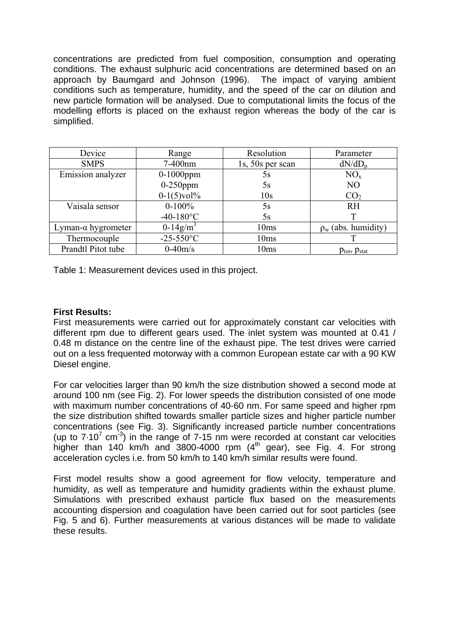concentrations are predicted from fuel composition, consumption and operating conditions. The exhaust sulphuric acid concentrations are determined based on an approach by Baumgard and Johnson (1996). The impact of varying ambient conditions such as temperature, humidity, and the speed of the car on dilution and new particle formation will be analysed. Due to computational limits the focus of the modelling efforts is placed on the exhaust region whereas the body of the car is simplified.

| Device                     | Range                   | Resolution       | Parameter                            |
|----------------------------|-------------------------|------------------|--------------------------------------|
| <b>SMPS</b>                | 7-400nm                 | 1s, 50s per scan | $dN/dD_p$                            |
| Emission analyzer          | $0-1000$ ppm            | 5s               | $NO_{x}$                             |
|                            | $0-250$ ppm             | 5s               | N <sub>O</sub>                       |
|                            | $0-1(5)$ vol%           | 10 <sub>s</sub>  | CO <sub>2</sub>                      |
| Vaisala sensor             | $0-100%$                | 5s               | <b>RH</b>                            |
|                            | $-40-180$ °C            | 5s               |                                      |
| Lyman- $\alpha$ hygrometer | $0-14$ g/m <sup>3</sup> | 10ms             | $\rho_w$ (abs. humidity)             |
| Thermocouple               | $-25 - 550$ °C          | 10ms             |                                      |
| Prandtl Pitot tube         | $0-40m/s$               | 10ms             | $p_{\text{tot}}$ , $p_{\text{stat}}$ |

Table 1: Measurement devices used in this project.

### **First Results:**

First measurements were carried out for approximately constant car velocities with different rpm due to different gears used. The inlet system was mounted at 0.41 / 0.48 m distance on the centre line of the exhaust pipe. The test drives were carried out on a less frequented motorway with a common European estate car with a 90 KW Diesel engine.

For car velocities larger than 90 km/h the size distribution showed a second mode at around 100 nm (see Fig. 2). For lower speeds the distribution consisted of one mode with maximum number concentrations of 40-60 nm. For same speed and higher rpm the size distribution shifted towards smaller particle sizes and higher particle number concentrations (see Fig. 3). Significantly increased particle number concentrations (up to  $7.10^7$  cm<sup>-3</sup>) in the range of  $7.15$  nm were recorded at constant car velocities higher than 140 km/h and 3800-4000 rpm  $(4<sup>th</sup>$  gear), see Fig. 4. For strong acceleration cycles i.e. from 50 km/h to 140 km/h similar results were found.

First model results show a good agreement for flow velocity, temperature and humidity, as well as temperature and humidity gradients within the exhaust plume. Simulations with prescribed exhaust particle flux based on the measurements accounting dispersion and coagulation have been carried out for soot particles (see Fig. 5 and 6). Further measurements at various distances will be made to validate these results.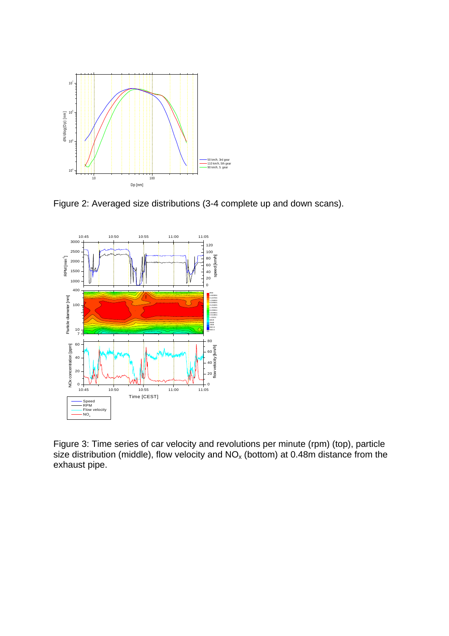

Figure 2: Averaged size distributions (3-4 complete up and down scans).



Figure 3: Time series of car velocity and revolutions per minute (rpm) (top), particle size distribution (middle), flow velocity and  $NO_x$  (bottom) at 0.48m distance from the exhaust pipe.